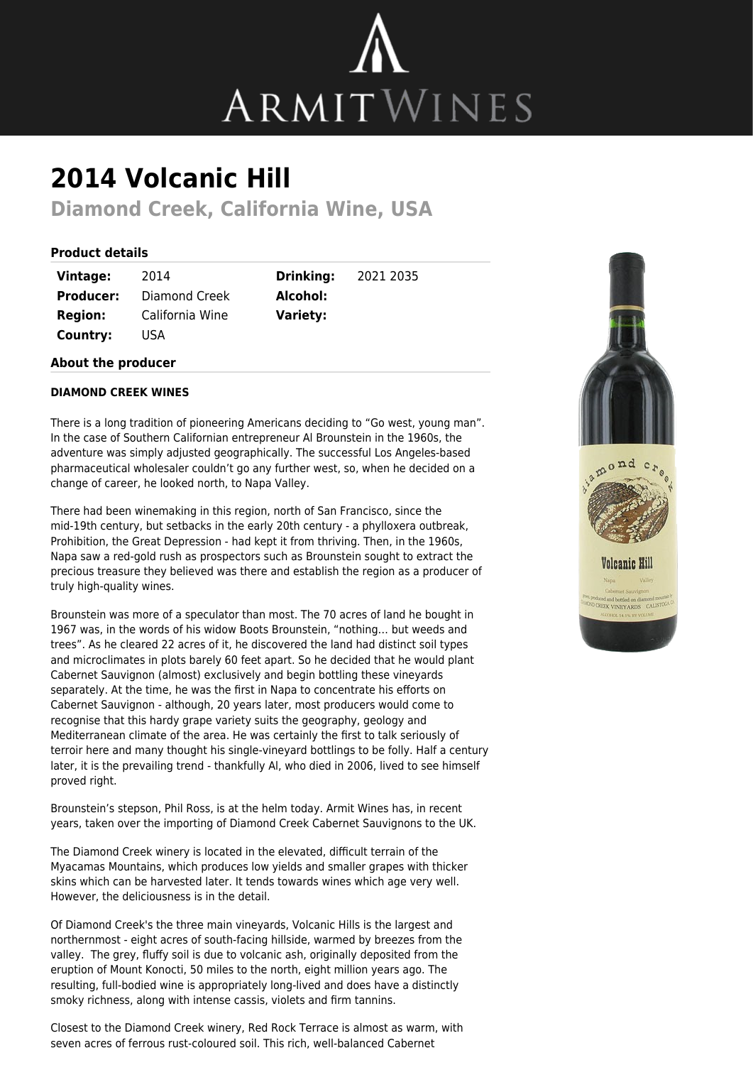

## **2014 Volcanic Hill**

**Diamond Creek, California Wine, USA**

## **Product details**

| Vintage:         | 2014                 |
|------------------|----------------------|
| <b>Producer:</b> | <b>Diamond Creek</b> |
| <b>Region:</b>   | California Wine      |
| Country:         | USA                  |

**Drinking:** 2021 2035 **Alcohol: Variety:**

## **About the producer**

## **DIAMOND CREEK WINES**

There is a long tradition of pioneering Americans deciding to "Go west, young man". In the case of Southern Californian entrepreneur Al Brounstein in the 1960s, the adventure was simply adjusted geographically. The successful Los Angeles-based pharmaceutical wholesaler couldn't go any further west, so, when he decided on a change of career, he looked north, to Napa Valley.

There had been winemaking in this region, north of San Francisco, since the mid-19th century, but setbacks in the early 20th century - a phylloxera outbreak, Prohibition, the Great Depression - had kept it from thriving. Then, in the 1960s, Napa saw a red-gold rush as prospectors such as Brounstein sought to extract the precious treasure they believed was there and establish the region as a producer of truly high-quality wines.

Brounstein was more of a speculator than most. The 70 acres of land he bought in 1967 was, in the words of his widow Boots Brounstein, "nothing… but weeds and trees". As he cleared 22 acres of it, he discovered the land had distinct soil types and microclimates in plots barely 60 feet apart. So he decided that he would plant Cabernet Sauvignon (almost) exclusively and begin bottling these vineyards separately. At the time, he was the first in Napa to concentrate his efforts on Cabernet Sauvignon - although, 20 years later, most producers would come to recognise that this hardy grape variety suits the geography, geology and Mediterranean climate of the area. He was certainly the first to talk seriously of terroir here and many thought his single-vineyard bottlings to be folly. Half a century later, it is the prevailing trend - thankfully Al, who died in 2006, lived to see himself proved right.

Brounstein's stepson, Phil Ross, is at the helm today. Armit Wines has, in recent years, taken over the importing of Diamond Creek Cabernet Sauvignons to the UK.

The Diamond Creek winery is located in the elevated, difficult terrain of the Myacamas Mountains, which produces low yields and smaller grapes with thicker skins which can be harvested later. It tends towards wines which age very well. However, the deliciousness is in the detail.

Of Diamond Creek's the three main vineyards, Volcanic Hills is the largest and northernmost - eight acres of south-facing hillside, warmed by breezes from the valley. The grey, fluffy soil is due to volcanic ash, originally deposited from the eruption of Mount Konocti, 50 miles to the north, eight million years ago. The resulting, full-bodied wine is appropriately long-lived and does have a distinctly smoky richness, along with intense cassis, violets and firm tannins.

Closest to the Diamond Creek winery, Red Rock Terrace is almost as warm, with seven acres of ferrous rust-coloured soil. This rich, well-balanced Cabernet